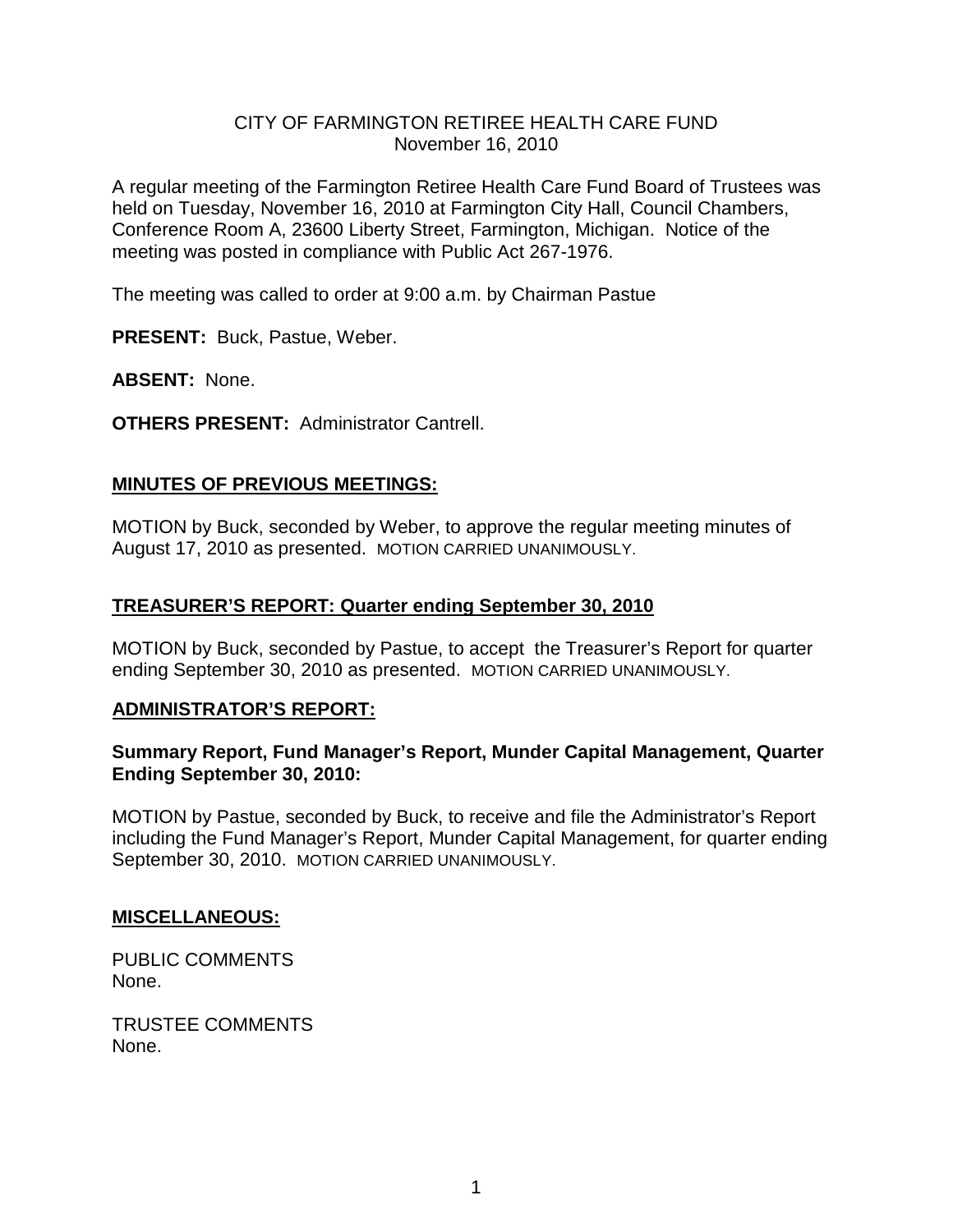## CITY OF FARMINGTON RETIREE HEALTH CARE FUND November 16, 2010

A regular meeting of the Farmington Retiree Health Care Fund Board of Trustees was held on Tuesday, November 16, 2010 at Farmington City Hall, Council Chambers, Conference Room A, 23600 Liberty Street, Farmington, Michigan. Notice of the meeting was posted in compliance with Public Act 267-1976.

The meeting was called to order at 9:00 a.m. by Chairman Pastue

**PRESENT:** Buck, Pastue, Weber.

**ABSENT:** None.

**OTHERS PRESENT:** Administrator Cantrell.

# **MINUTES OF PREVIOUS MEETINGS:**

MOTION by Buck, seconded by Weber, to approve the regular meeting minutes of August 17, 2010 as presented. MOTION CARRIED UNANIMOUSLY.

## **TREASURER'S REPORT: Quarter ending September 30, 2010**

MOTION by Buck, seconded by Pastue, to accept the Treasurer's Report for quarter ending September 30, 2010 as presented. MOTION CARRIED UNANIMOUSLY.

# **ADMINISTRATOR'S REPORT:**

## **Summary Report, Fund Manager's Report, Munder Capital Management, Quarter Ending September 30, 2010:**

MOTION by Pastue, seconded by Buck, to receive and file the Administrator's Report including the Fund Manager's Report, Munder Capital Management, for quarter ending September 30, 2010. MOTION CARRIED UNANIMOUSLY.

#### **MISCELLANEOUS:**

PUBLIC COMMENTS None.

TRUSTEE COMMENTS None.